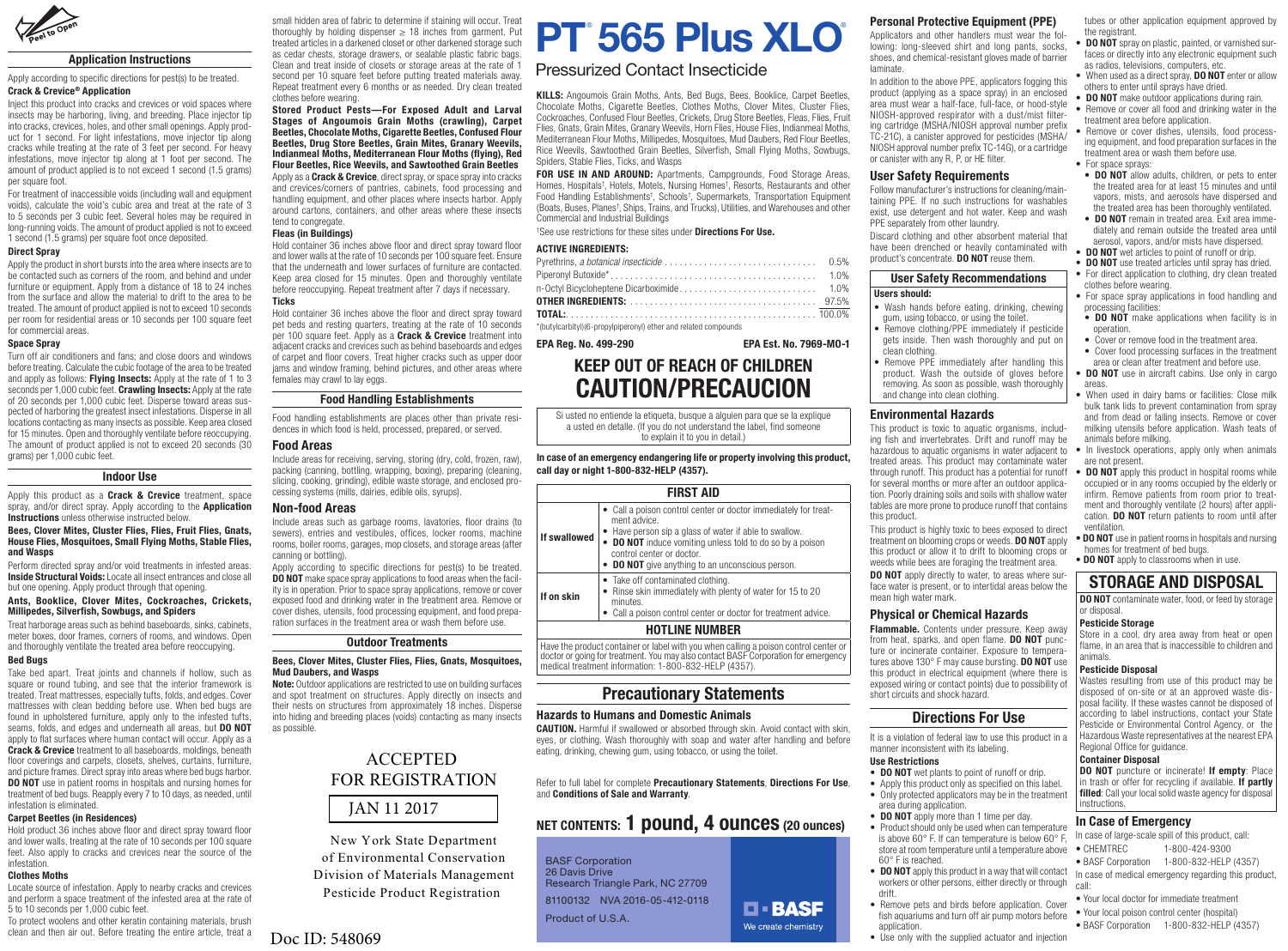

## Application Instructions

## Apply according to specific directions for pest(s) to be treated. Crack & Crevice® Application

Inject this product into cracks and crevices or void spaces where insects may be harboring, living, and breeding. Place injector tip into cracks, crevices, holes, and other small openings. Apply product for 1 second. For light infestations, move injector tip along cracks while treating at the rate of 3 feet per second. For heavy infestations, move injector tip along at 1 foot per second. The amount of product applied is to not exceed 1 second (1.5 grams) per square foot.

For treatment of inaccessible voids (including wall and equipment voids), calculate the void's cubic area and treat at the rate of 3 to 5 seconds per 3 cubic feet. Several holes may be required in long-running voids. The amount of product applied is not to exceed 1 second (1.5 grams) per square foot once deposited.

#### Direct Spray

Apply the product in short bursts into the area where insects are to be contacted such as corners of the room, and behind and under furniture or equipment. Apply from a distance of 18 to 24 inches from the surface and allow the material to drift to the area to be treated. The amount of product applied is not to exceed 10 seconds per room for residential areas or 10 seconds per 100 square feet for commercial areas.

#### Space Spray

Turn off air conditioners and fans; and close doors and windows before treating. Calculate the cubic footage of the area to be treated and apply as follows: Flying Insects: Apply at the rate of 1 to 3 seconds per 1,000 cubic feet. **Crawling Insects:** Apply at the rate of 20 seconds per 1,000 cubic feet. Disperse toward areas suspected of harboring the greatest insect infestations. Disperse in all locations contacting as many insects as possible. Keep area closed for 15 minutes. Open and thoroughly ventilate before reoccupying. The amount of product applied is not to exceed 20 seconds (30 grams) per 1,000 cubic feet.

## Indoor Use

Apply this product as a **Crack & Crevice** treatment, space spray, and/or direct spray. Apply according to the **Application Instructions** unless otherwise instructed below.

#### Bees, Clover Mites, Cluster Flies, Flies, Fruit Flies, Gnats, House Flies, Mosquitoes, Small Flying Moths, Stable Flies, and Wasps

Perform directed spray and/or void treatments in infested areas. **Inside Structural Voids: Locate all insect entrances and close all** but one opening. Apply product through that opening.

## Ants, Booklice, Clover Mites, Cockroaches, Crickets, Millipedes, Silverfish, Sowbugs, and Spiders

Treat harborage areas such as behind baseboards, sinks, cabinets, meter boxes, door frames, corners of rooms, and windows. Open and thoroughly ventilate the treated area before reoccupying.

## Bed Bugs

Take bed apart. Treat joints and channels if hollow, such as square or round tubing, and see that the interior framework is treated. Treat mattresses, especially tufts, folds, and edges. Cover mattresses with clean bedding before use. When bed bugs are found in upholstered furniture, apply only to the infested tufts. seams, folds, and edges and underneath all areas, but **DO NOT** apply to flat surfaces where human contact will occur. Apply as a **Crack & Crevice** treatment to all baseboards, moldings, beneath floor coverings and carpets, closets, shelves, curtains, furniture, and picture frames. Direct spray into areas where bed bugs harbor. **DO NOT** use in patient rooms in hospitals and nursing homes for treatment of bed bugs. Reapply every 7 to 10 days, as needed, until infestation is eliminated.

## Carpet Beetles (in Residences)

Hold product 36 inches above floor and direct spray toward floor and lower walls, treating at the rate of 10 seconds per 100 square feet. Also apply to cracks and crevices near the source of the infestation.

## Clothes Moths

Locate source of infestation. Apply to nearby cracks and crevices and perform a space treatment of the infested area at the rate of 5 to 10 seconds per 1,000 cubic feet.

To protect woolens and other keratin containing materials, brush clean and then air out. Before treating the entire article, treat a small hidden area of fabric to determine if staining will occur. Treat thoroughly by holding dispenser  $\geq$  18 inches from garment. Put treated articles in a darkened closet or other darkened storage such as cedar chests, storage drawers, or sealable plastic fabric bags. Clean and treat inside of closets or storage areas at the rate of 1 second per 10 square feet before putting treated materials away. Repeat treatment every 6 months or as needed. Dry clean treated clothes before wearing.

Stored Product Pests—For Exposed Adult and Larval Stages of Angoumois Grain Moths (crawling), Carpet Beetles, Chocolate Moths, Cigarette Beetles, Confused Flour Beetles, Drug Store Beetles, Grain Mites, Granary Weevils, Indianmeal Moths, Mediterranean Flour Moths (flying), Red Flour Beetles, Rice Weevils, and Sawtoothed Grain Beetles Apply as a **Crack & Crevice**, direct spray, or space spray into cracks and crevices/corners of pantries, cabinets, food processing and handling equipment, and other places where insects harbor. Apply around cartons, containers, and other areas where these insects

tend to congregate Fleas (in Buildings)

Hold container 36 inches above floor and direct spray toward floor and lower walls at the rate of 10 seconds per 100 square feet. Fnsure that the underneath and lower surfaces of furniture are contacted. Keep area closed for 15 minutes. Open and thoroughly ventilate before reoccupying. Repeat treatment after 7 days if necessary. **Ticks** 

Hold container 36 inches above the floor and direct spray toward pet beds and resting quarters, treating at the rate of 10 seconds per 100 square feet. Apply as a **Crack & Crevice** treatment into adjacent cracks and crevices such as behind baseboards and edges of carpet and floor covers. Treat higher cracks such as upper door jams and window framing, behind pictures, and other areas where females may crawl to lay eggs.

## Food Handling Establishments

Food handling establishments are places other than private residences in which food is held, processed, prepared, or served.

## Food Areas

Include areas for receiving, serving, storing (dry, cold, frozen, raw), packing (canning, bottling, wrapping, boxing), preparing (cleaning, slicing, cooking, grinding), edible waste storage, and enclosed processing systems (mills, dairies, edible oils, syrups).

## Non-food Areas

Include areas such as garbage rooms, lavatories, floor drains (to sewers), entries and vestibules, offices, locker rooms, machine rooms, boiler rooms, garages, mop closets, and storage areas (after canning or bottling).

Apply according to specific directions for pest(s) to be treated. **DO NOT** make space spray applications to food areas when the facility is in operation. Prior to space spray applications, remove or cover exposed food and drinking water in the treatment area. Remove or cover dishes, utensils, food processing equipment, and food preparation surfaces in the treatment area or wash them before use.

## Outdoor Treatments

#### Bees, Clover Mites, Cluster Flies, Flies, Gnats, Mosquitoes, Mud Daubers, and Wasps

**Note:** Outdoor applications are restricted to use on building surfaces and spot treatment on structures. Apply directly on insects and their nests on structures from approximately 18 inches. Disperse into hiding and breeding places (voids) contacting as many insects as possible.

## JAN 11 2017 ACCEPTED FOR REGISTRATION

New York State Department of Environmental Conservation Division of Materials Management Pesticide Product Registration

## Doc ID: 548069

# PT 565 Plus XLO

## Pressurized Contact Insecticide

KILLS: Angoumois Grain Moths, Ants, Bed Bugs, Bees, Booklice, Carpet Beetles, Chocolate Moths, Cigarette Beetles, Clothes Moths, Clover Mites, Cluster Flies, Cockroaches, Confused Flour Beetles, Crickets, Drug Store Beetles, Fleas, Flies, Fruit Flies, Gnats, Grain Mites, Granary Weevils, Horn Flies, House Flies, Indianmeal Moths, Mediterranean Flour Moths, Millipedes, Mosquitoes, Mud Daubers, Red Flour Beetles, Rice Weevils, Sawtoothed Grain Beetles, Silverfish, Small Flying Moths, Sowbugs, Spiders, Stable Flies, Ticks, and Wasps

FOR USE IN AND AROUND: Apartments, Campgrounds, Food Storage Areas, Homes, Hospitals<sup>t</sup>, Hotels, Motels, Nursing Homes<sup>t</sup>, Resorts, Restaurants and other Food Handling Establishments† , Schools† , Supermarkets, Transportation Equipment (Boats, Buses, Planes† , Ships, Trains, and Trucks), Utilities, and Warehouses and other Commercial and Industrial Buildings

<sup>+</sup>See use restrictions for these sites under Directions For Use.

## ACTIVE INGREDIENTS:

\*(butylcarbityl)(6-propylpiperonyl) ether and related compounds

## EPA Reg. No. 499-290 EPA Est. No. 7969-MO-1

## KEEP OUT OF REACH OF CHILDREN CAUTION/PRECAUCION

Si usted no entiende la etiqueta, busque a alquien para que se la explique a usted en detalle. (If you do not understand the label, find someone to explain it to you in detail.)

## In case of an emergency endangering life or property involving this product, call day or night 1-800-832-HELP (4357).

## FIRST AID

| If swallowed          | • Call a poison control center or doctor immediately for treat-<br>ment advice.<br>• Have person sip a glass of water if able to swallow.<br>• DO NOT induce vomiting unless told to do so by a poison<br>control center or doctor.<br>• DO NOT give anything to an unconscious person. |
|-----------------------|-----------------------------------------------------------------------------------------------------------------------------------------------------------------------------------------------------------------------------------------------------------------------------------------|
| If on skin            | • Take off contaminated clothing.<br>• Rinse skin immediately with plenty of water for 15 to 20<br>minutes.<br>• Call a poison control center or doctor for treatment advice.                                                                                                           |
| <b>HOTLINE NUMBER</b> |                                                                                                                                                                                                                                                                                         |

Have the product container or label with you when calling a poison control center or doctor or going for treatment. You may also contact BASF Corporation for emergency medical treatment information: 1-800-832-HELP (4357).

## Precautionary Statements

## Hazards to Humans and Domestic Animals

CAUTION. Harmful if swallowed or absorbed through skin. Avoid contact with skin, eyes, or clothing. Wash thoroughly with soap and water after handling and before eating, drinking, chewing gum, using tobacco, or using the toilet.

#### Refer to full label for complete Precautionary Statements, Directions For Use, and Conditions of Sale and Warranty.

## NET CONTENTS: 1 pound, 4 ounces (20 ounces)

BASF Corporation 26 Davis Drive Research Triangle Park, NC 27709 81100132 NVA 2016-05-412-0118 Product of U.S.A.

## Personal Protective Equipment (PPE)

Applicators and other handlers must wear the following: long-sleeved shirt and long pants, socks, shoes, and chemical-resistant gloves made of barrier laminate.

In addition to the above PPE, applicators fogging this product (applying as a space spray) in an enclosed area must wear a half-face, full-face, or hood-style NIOSH-approved respirator with a dust/mist filtering cartridge (MSHA/NIOSH approval number prefix TC-21C), a canister approved for pesticides (MSHA/ NIOSH approval number prefix TC-14G), or a cartridge or canister with any R, P, or HE filter.

## User Safety Requirements

Follow manufacturer's instructions for cleaning/maintaining PPE. If no such instructions for washables exist, use detergent and hot water. Keep and wash PPE separately from other laundry.

Discard clothing and other absorbent material that have been drenched or heavily contaminated with product's concentrate. **DO NOT** reuse them.

User Safety Recommendations Users should:

- Wash hands before eating, drinking, chewing gum, using tobacco, or using the toilet.
- Remove clothing/PPE immediately if pesticide gets inside. Then wash thoroughly and put on clean clothing.
- Remove PPE immediately after handling this product. Wash the outside of gloves before removing. As soon as possible, wash thoroughly and change into clean clothing.

## Environmental Hazards

This product is toxic to aquatic organisms, including fish and invertebrates. Drift and runoff may be hazardous to aquatic organisms in water adjacent to treated areas. This product may contaminate water through runoff. This product has a potential for runoff for several months or more after an outdoor application. Poorly draining soils and soils with shallow water tables are more prone to produce runoff that contains this product.

This product is highly toxic to bees exposed to direct treatment on blooming crops or weeds. DO NOT apply this product or allow it to drift to blooming crops or weeds while bees are foraging the treatment area. **DO NOT** apply directly to water, to areas where surface water is present, or to intertidal areas below the

mean high water mark.

## Physical or Chemical Hazards

Flammable. Contents under pressure. Keep away from heat, sparks, and open flame. DO NOT puncture or incinerate container. Exposure to temperatures above 130° F may cause bursting. **DO NOT** use this product in electrical equipment (where there is exposed wiring or contact points) due to possibility of short circuits and shock hazard.

## Directions For Use

It is a violation of federal law to use this product in a manner inconsistent with its labeling.

## Use Restrictions

application

- **DO NOT** wet plants to point of runoff or drip.
- Apply this product only as specified on this label.
- Only protected applicators may be in the treatment area during application.
- **DO NOT** apply more than 1 time per day.
- Product should only be used when can temperature is above 60° F. If can temperature is below 60° F, store at room temperature until a temperature above 60° F is reached.
- DO NOT apply this product in a way that will contact workers or other persons, either directly or through drift. • Remove pets and birds before application. Cover

fish aquariums and turn off air pump motors before

- **D-BASF** We create chemistry
- Use only with the supplied actuator and injection

tubes or other application equipment approved by the registrant.

- DO NOT spray on plastic, painted, or varnished surfaces or directly into any electronic equipment such as radios, televisions, computers, etc.
- When used as a direct spray, **DO NOT** enter or allow others to enter until sprays have dried.
- DO NOT make outdoor applications during rain. • Remove or cover all food and drinking water in the treatment area before application.
- Remove or cover dishes, utensils, food processing equipment, and food preparation surfaces in the treatment area or wash them before use. • For space sprays:
- DO NOT allow adults, children, or pets to enter the treated area for at least 15 minutes and until vapors, mists, and aerosols have dispersed and the treated area has been thoroughly ventilated.
- DO NOT remain in treated area. Exit area immediately and remain outside the treated area until aerosol, vapors, and/or mists have dispersed.
- DO NOT wet articles to point of runoff or drip. • DO NOT use treated articles until spray has dried.
- For direct application to clothing, dry clean treated clothes before wearing.
- For space spray applications in food handling and processing facilities:  $\cdot$  DO NOT make applications when facility is in
- operation. • Cover or remove food in the treatment area. • Cover food processing surfaces in the treatment

area or clean after treatment and before use. • DO NOT use in aircraft cabins. Use only in cargo

• When used in dairy barns or facilities: Close milk bulk tank lids to prevent contamination from spray and from dead or falling insects. Remove or cover milking utensils before application. Wash teats of

• In livestock operations, apply only when animals

• DO NOT apply this product in hospital rooms while occupied or in any rooms occupied by the elderly or infirm. Remove patients from room prior to treatment and thoroughly ventilate (2 hours) after application. DO NOT return patients to room until after

• DO NOT use in patient rooms in hospitals and nursing

Store in a cool, dry area away from heat or open flame, in an area that is inaccessible to children and

Wastes resulting from use of this product may be disposed of on-site or at an approved waste disposal facility. If these wastes cannot be disposed of according to label instructions, contact your State Pesticide or Environmental Control Agency, or the Hazardous Waste representatives at the nearest EPA

DO NOT puncture or incinerate! If empty: Place in trash or offer for recycling if available. If partly filled: Call your local solid waste agency for disposal

In case of large-scale spill of this product, call: • CHEMTREC 1-800-424-9300 • BASF Corporation 1-800-832-HELP (4357) In case of medical emergency regarding this product,

• Your local doctor for immediate treatment • Your local poison control center (hospital) • BASF Corporation 1-800-832-HELP (4357)

homes for treatment of bed bugs. • DO NOT apply to classrooms when in use. STORAGE AND DISPOSAL **DO NOT** contaminate water, food, or feed by storage

Regional Office for guidance. Container Disposal

In Case of Emergency

areas.

animals before milking.

are not present.

ventilation.

or disposal. Pesticide Storage

animals. Pesticide Disposal

instructions.

call: